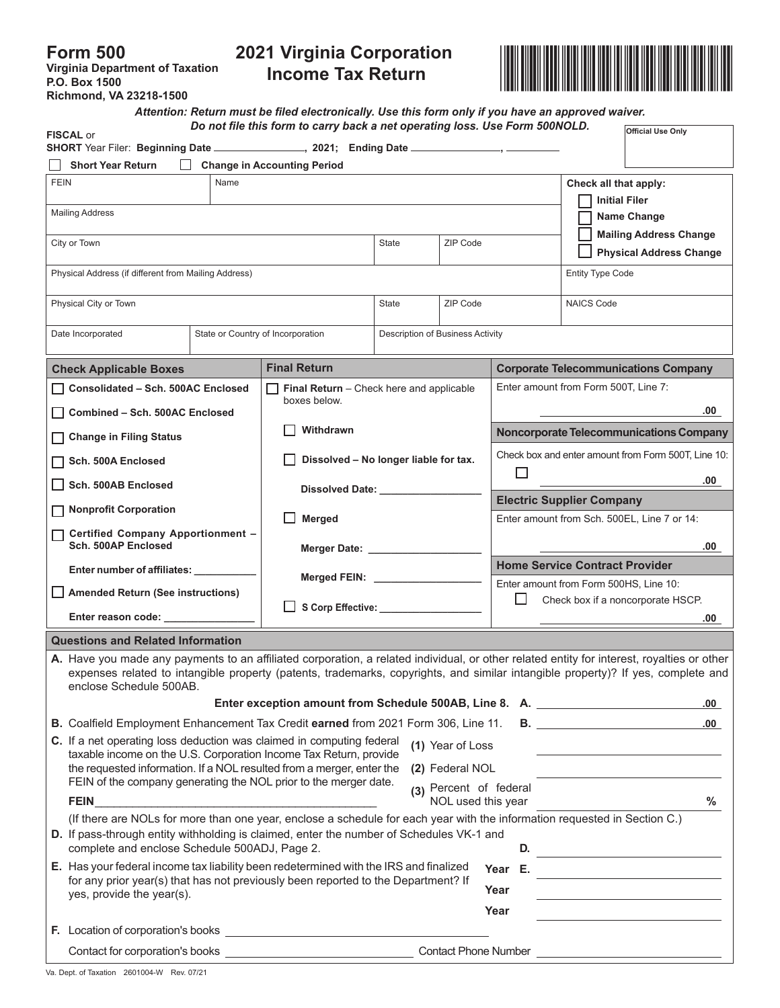## **Form 500**

**Virginia Department of Taxation P.O. Box 1500 Richmond, VA 23218-1500**

## **2021 Virginia Corporation Income Tax Return**



*Attention: Return must be filed electronically. Use this form only if you have an approved waiver.*

|                                                                                                                           | <b>FISCAL or</b><br>SHORT Year Filer: Beginning Date ________________, 2021; Ending Date _____________, __________                                                                                                                                                                                        |                                                                                                                                                                                                                                                       | Do not file this form to carry back a net operating loss. Use Form 500NOLD. |       |                                                                                 |                                                     | <b>Official Use Only</b>                                                         |     |  |  |
|---------------------------------------------------------------------------------------------------------------------------|-----------------------------------------------------------------------------------------------------------------------------------------------------------------------------------------------------------------------------------------------------------------------------------------------------------|-------------------------------------------------------------------------------------------------------------------------------------------------------------------------------------------------------------------------------------------------------|-----------------------------------------------------------------------------|-------|---------------------------------------------------------------------------------|-----------------------------------------------------|----------------------------------------------------------------------------------|-----|--|--|
|                                                                                                                           | <b>Short Year Return</b><br>$\Box$                                                                                                                                                                                                                                                                        |                                                                                                                                                                                                                                                       | <b>Change in Accounting Period</b>                                          |       |                                                                                 |                                                     |                                                                                  |     |  |  |
|                                                                                                                           | <b>FEIN</b><br>Name<br>Check all that apply:                                                                                                                                                                                                                                                              |                                                                                                                                                                                                                                                       |                                                                             |       |                                                                                 |                                                     |                                                                                  |     |  |  |
|                                                                                                                           | <b>Initial Filer</b><br><b>Mailing Address</b><br><b>Name Change</b>                                                                                                                                                                                                                                      |                                                                                                                                                                                                                                                       |                                                                             |       |                                                                                 |                                                     |                                                                                  |     |  |  |
| City or Town                                                                                                              |                                                                                                                                                                                                                                                                                                           |                                                                                                                                                                                                                                                       |                                                                             | State | ZIP Code                                                                        |                                                     | <b>Mailing Address Change</b><br><b>Physical Address Change</b>                  |     |  |  |
|                                                                                                                           | Physical Address (if different from Mailing Address)                                                                                                                                                                                                                                                      |                                                                                                                                                                                                                                                       |                                                                             |       |                                                                                 | <b>Entity Type Code</b>                             |                                                                                  |     |  |  |
|                                                                                                                           | Physical City or Town                                                                                                                                                                                                                                                                                     |                                                                                                                                                                                                                                                       |                                                                             | State | ZIP Code                                                                        |                                                     | <b>NAICS Code</b>                                                                |     |  |  |
|                                                                                                                           | Date Incorporated                                                                                                                                                                                                                                                                                         | State or Country of Incorporation                                                                                                                                                                                                                     |                                                                             |       | Description of Business Activity                                                |                                                     |                                                                                  |     |  |  |
|                                                                                                                           | <b>Check Applicable Boxes</b>                                                                                                                                                                                                                                                                             |                                                                                                                                                                                                                                                       | <b>Final Return</b>                                                         |       |                                                                                 |                                                     | <b>Corporate Telecommunications Company</b>                                      |     |  |  |
|                                                                                                                           | Consolidated - Sch. 500AC Enclosed                                                                                                                                                                                                                                                                        |                                                                                                                                                                                                                                                       | Final Return - Check here and applicable                                    |       |                                                                                 |                                                     | Enter amount from Form 500T, Line 7:                                             |     |  |  |
|                                                                                                                           | Combined - Sch. 500AC Enclosed                                                                                                                                                                                                                                                                            |                                                                                                                                                                                                                                                       | boxes below.                                                                |       |                                                                                 | .00                                                 |                                                                                  |     |  |  |
|                                                                                                                           | <b>Change in Filing Status</b>                                                                                                                                                                                                                                                                            |                                                                                                                                                                                                                                                       | Withdrawn                                                                   |       |                                                                                 |                                                     | <b>Noncorporate Telecommunications Company</b>                                   |     |  |  |
|                                                                                                                           | Sch. 500A Enclosed                                                                                                                                                                                                                                                                                        |                                                                                                                                                                                                                                                       | Dissolved - No longer liable for tax.                                       |       |                                                                                 | Check box and enter amount from Form 500T, Line 10: |                                                                                  |     |  |  |
|                                                                                                                           | Sch. 500AB Enclosed                                                                                                                                                                                                                                                                                       |                                                                                                                                                                                                                                                       | Dissolved Date: <b>Dissolved</b>                                            |       |                                                                                 | $\Box$                                              | .00                                                                              |     |  |  |
|                                                                                                                           | <b>Nonprofit Corporation</b>                                                                                                                                                                                                                                                                              |                                                                                                                                                                                                                                                       | <b>Merged</b>                                                               |       | <b>Electric Supplier Company</b><br>Enter amount from Sch. 500EL, Line 7 or 14: |                                                     |                                                                                  |     |  |  |
|                                                                                                                           | Certified Company Apportionment -                                                                                                                                                                                                                                                                         |                                                                                                                                                                                                                                                       |                                                                             |       |                                                                                 |                                                     |                                                                                  |     |  |  |
|                                                                                                                           | Sch. 500AP Enclosed                                                                                                                                                                                                                                                                                       |                                                                                                                                                                                                                                                       | Merger Date: _______________________                                        |       |                                                                                 |                                                     | .00<br><b>Home Service Contract Provider</b>                                     |     |  |  |
|                                                                                                                           | Enter number of affiliates: ______                                                                                                                                                                                                                                                                        |                                                                                                                                                                                                                                                       | Merged FEIN: _________________                                              |       |                                                                                 | Enter amount from Form 500HS, Line 10:              |                                                                                  |     |  |  |
|                                                                                                                           | <b>Amended Return (See instructions)</b><br>ΙI                                                                                                                                                                                                                                                            |                                                                                                                                                                                                                                                       | S Corp Effective: _____________                                             |       |                                                                                 | Check box if a noncorporate HSCP.                   |                                                                                  |     |  |  |
|                                                                                                                           | Enter reason code: __________                                                                                                                                                                                                                                                                             |                                                                                                                                                                                                                                                       |                                                                             |       |                                                                                 |                                                     | .00                                                                              |     |  |  |
|                                                                                                                           | <b>Questions and Related Information</b>                                                                                                                                                                                                                                                                  |                                                                                                                                                                                                                                                       |                                                                             |       |                                                                                 |                                                     |                                                                                  |     |  |  |
|                                                                                                                           | A. Have you made any payments to an affiliated corporation, a related individual, or other related entity for interest, royalties or other<br>expenses related to intangible property (patents, trademarks, copyrights, and similar intangible property)? If yes, complete and<br>enclose Schedule 500AB. |                                                                                                                                                                                                                                                       |                                                                             |       |                                                                                 |                                                     |                                                                                  |     |  |  |
|                                                                                                                           |                                                                                                                                                                                                                                                                                                           |                                                                                                                                                                                                                                                       |                                                                             |       |                                                                                 |                                                     | Enter exception amount from Schedule 500AB, Line 8. A. _________________________ | .00 |  |  |
|                                                                                                                           | .00.<br>B. Coalfield Employment Enhancement Tax Credit earned from 2021 Form 306, Line 11.<br>C. If a net operating loss deduction was claimed in computing federal                                                                                                                                       |                                                                                                                                                                                                                                                       |                                                                             |       |                                                                                 |                                                     |                                                                                  |     |  |  |
|                                                                                                                           |                                                                                                                                                                                                                                                                                                           | (1) Year of Loss<br>taxable income on the U.S. Corporation Income Tax Return, provide<br>the requested information. If a NOL resulted from a merger, enter the<br>(2) Federal NOL<br>FEIN of the company generating the NOL prior to the merger date. |                                                                             |       |                                                                                 |                                                     |                                                                                  |     |  |  |
|                                                                                                                           |                                                                                                                                                                                                                                                                                                           |                                                                                                                                                                                                                                                       |                                                                             |       |                                                                                 |                                                     |                                                                                  |     |  |  |
|                                                                                                                           | <b>FEIN</b>                                                                                                                                                                                                                                                                                               | (3) Percent of federal<br>NOL used this year                                                                                                                                                                                                          |                                                                             |       |                                                                                 | $\%$                                                |                                                                                  |     |  |  |
| (If there are NOLs for more than one year, enclose a schedule for each year with the information requested in Section C.) |                                                                                                                                                                                                                                                                                                           |                                                                                                                                                                                                                                                       |                                                                             |       |                                                                                 |                                                     |                                                                                  |     |  |  |
|                                                                                                                           | D. If pass-through entity withholding is claimed, enter the number of Schedules VK-1 and<br>complete and enclose Schedule 500ADJ, Page 2.                                                                                                                                                                 |                                                                                                                                                                                                                                                       |                                                                             |       |                                                                                 | D.                                                  |                                                                                  |     |  |  |
|                                                                                                                           | <b>E.</b> Has your federal income tax liability been redetermined with the IRS and finalized<br>for any prior year(s) that has not previously been reported to the Department? If                                                                                                                         |                                                                                                                                                                                                                                                       |                                                                             |       |                                                                                 |                                                     | Year E.                                                                          |     |  |  |
|                                                                                                                           | yes, provide the year(s).                                                                                                                                                                                                                                                                                 |                                                                                                                                                                                                                                                       |                                                                             |       |                                                                                 | Year                                                | the control of the control of the control of the control of the control of       |     |  |  |
|                                                                                                                           |                                                                                                                                                                                                                                                                                                           |                                                                                                                                                                                                                                                       |                                                                             |       |                                                                                 | Year                                                | <u> 1989 - Johann Barbara, martxa alemaniar a</u>                                |     |  |  |
|                                                                                                                           |                                                                                                                                                                                                                                                                                                           |                                                                                                                                                                                                                                                       |                                                                             |       |                                                                                 |                                                     |                                                                                  |     |  |  |
|                                                                                                                           |                                                                                                                                                                                                                                                                                                           |                                                                                                                                                                                                                                                       |                                                                             |       |                                                                                 |                                                     |                                                                                  |     |  |  |